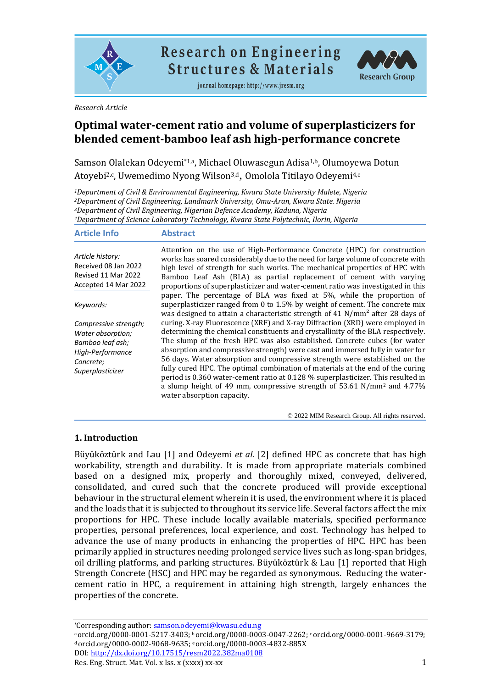

**Research on Engineering Structures & Materials** 

journal homepage: http://www.jresm.org



*Research Article*

# **Optimal water-cement ratio and volume of superplasticizers for blended cement-bamboo leaf ash high-performance concrete**

Samson Olalekan Odeyemi\*1,a, Michael Oluwasegun Adisa<sup>1,b</sup>, Olumoyewa Dotun Atoyebi<sup>2,c</sup>, Uwemedimo Nyong Wilson<sup>3,d</sup>, Omolola Titilayo Odeyemi<sup>4,e</sup>

*Department of Civil & Environmental Engineering, Kwara State University Malete, Nigeria Department of Civil Engineering, Landmark University, Omu-Aran, Kwara State. Nigeria Department of Civil Engineering, Nigerian Defence Academy, Kaduna, Nigeria Department of Science Laboratory Technology, Kwara State Polytechnic, Ilorin, Nigeria*

| <b>Article Info</b>                                                                                                 | <b>Abstract</b>                                                                                                                                                                                                                                                                                                                                                                                                                                                                                                                                                                                                                                                                                  |
|---------------------------------------------------------------------------------------------------------------------|--------------------------------------------------------------------------------------------------------------------------------------------------------------------------------------------------------------------------------------------------------------------------------------------------------------------------------------------------------------------------------------------------------------------------------------------------------------------------------------------------------------------------------------------------------------------------------------------------------------------------------------------------------------------------------------------------|
| Article history:<br>Received 08 Jan 2022<br>Revised 11 Mar 2022<br>Accepted 14 Mar 2022                             | Attention on the use of High-Performance Concrete (HPC) for construction<br>works has soared considerably due to the need for large volume of concrete with<br>high level of strength for such works. The mechanical properties of HPC with<br>Bamboo Leaf Ash (BLA) as partial replacement of cement with varying<br>proportions of superplasticizer and water-cement ratio was investigated in this<br>paper. The percentage of BLA was fixed at 5%, while the proportion of                                                                                                                                                                                                                   |
| Keywords:                                                                                                           | superplasticizer ranged from 0 to 1.5% by weight of cement. The concrete mix<br>was designed to attain a characteristic strength of 41 $N/mm^2$ after 28 days of                                                                                                                                                                                                                                                                                                                                                                                                                                                                                                                                 |
| Compressive strength;<br>Water absorption;<br>Bamboo leaf ash;<br>High-Performance<br>Concrete:<br>Superplasticizer | curing. X-ray Fluorescence (XRF) and X-ray Diffraction (XRD) were employed in<br>determining the chemical constituents and crystallinity of the BLA respectively.<br>The slump of the fresh HPC was also established. Concrete cubes (for water<br>absorption and compressive strength) were cast and immersed fully in water for<br>56 days. Water absorption and compressive strength were established on the<br>fully cured HPC. The optimal combination of materials at the end of the curing<br>period is 0.360 water-cement ratio at 0.128 % superplasticizer. This resulted in<br>a slump height of 49 mm, compressive strength of 53.61 $N/mm^2$ and 4.77%<br>water absorption capacity. |

© 2022 MIM Research Group. All rights reserved.

## **1. Introduction**

Büyüköztürk and Lau [1] and Odeyemi *et al.* [2] defined HPC as concrete that has high workability, strength and durability. It is made from appropriate materials combined based on a designed mix, properly and thoroughly mixed, conveyed, delivered, consolidated, and cured such that the concrete produced will provide exceptional behaviour in the structural element wherein it is used, the environment where it is placed and the loads that it is subjected to throughout its service life. Several factors affect the mix proportions for HPC. These include locally available materials, specified performance properties, personal preferences, local experience, and cost. Technology has helped to advance the use of many products in enhancing the properties of HPC. HPC has been primarily applied in structures needing prolonged service lives such as long-span bridges, oil drilling platforms, and parking structures. Büyüköztürk & Lau [1] reported that High Strength Concrete (HSC) and HPC may be regarded as synonymous. Reducing the watercement ratio in HPC, a requirement in attaining high strength, largely enhances the properties of the concrete.

<sup>\*</sup>Corresponding author[: samson.odeyemi@kwasu.edu.ng](mailto:samson.odeyemi@kwasu.edu.ng)

a[orcid.org/0000-0001-5217-3403;](https://orcid.org/0000-0001-5217-3403) b[orcid.org/0000-0003-0047-2262;](https://orcid.org/0000-0003-0047-2262) c[orcid.org/0000-0001-9669-3179;](https://orcid.org/0000-0001-9669-3179) <sup>d</sup> [orcid.org/0000-0002-9068-9](https://orcid.org/0000-0002-9068-)635; <sup>e</sup> [orcid.org/0000-0003-4832-885X](https://orcid.org/0000-0003-4832-885X)  DOI[: http://dx.doi.org/10.17515/resm2022.382ma0108](http://dx.doi.org/10.17515/resm2022.382ma0108)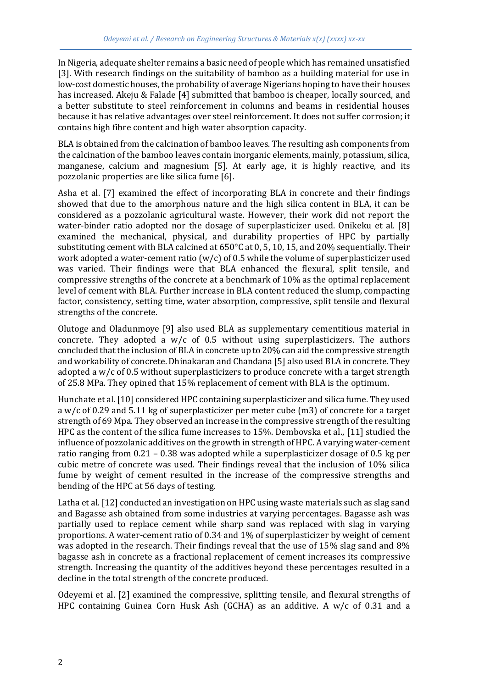In Nigeria, adequate shelter remains a basic need of people which has remained unsatisfied [3]. With research findings on the suitability of bamboo as a building material for use in low-cost domestic houses, the probability of average Nigerians hoping to have their houses has increased. Akeju & Falade [4] submitted that bamboo is cheaper, locally sourced, and a better substitute to steel reinforcement in columns and beams in residential houses because it has relative advantages over steel reinforcement. It does not suffer corrosion; it contains high fibre content and high water absorption capacity.

BLA is obtained from the calcination of bamboo leaves. The resulting ash components from the calcination of the bamboo leaves contain inorganic elements, mainly, potassium, silica, manganese, calcium and magnesium [5]. At early age, it is highly reactive, and its pozzolanic properties are like silica fume [6].

Asha et al. [7] examined the effect of incorporating BLA in concrete and their findings showed that due to the amorphous nature and the high silica content in BLA, it can be considered as a pozzolanic agricultural waste. However, their work did not report the water-binder ratio adopted nor the dosage of superplasticizer used. Onikeku et al. [8] examined the mechanical, physical, and durability properties of HPC by partially substituting cement with BLA calcined at 650°C at 0, 5, 10, 15, and 20% sequentially. Their work adopted a water-cement ratio  $(w/c)$  of 0.5 while the volume of superplasticizer used was varied. Their findings were that BLA enhanced the flexural, split tensile, and compressive strengths of the concrete at a benchmark of 10% as the optimal replacement level of cement with BLA. Further increase in BLA content reduced the slump, compacting factor, consistency, setting time, water absorption, compressive, split tensile and flexural strengths of the concrete.

Olutoge and Oladunmoye [9] also used BLA as supplementary cementitious material in concrete. They adopted a  $w/c$  of 0.5 without using superplasticizers. The authors concluded that the inclusion of BLA in concrete up to 20% can aid the compressive strength and workability of concrete. Dhinakaran and Chandana [5] also used BLA in concrete. They adopted a w/c of 0.5 without superplasticizers to produce concrete with a target strength of 25.8 MPa. They opined that 15% replacement of cement with BLA is the optimum.

Hunchate et al. [10] considered HPC containing superplasticizer and silica fume. They used a w/c of 0.29 and 5.11 kg of superplasticizer per meter cube (m3) of concrete for a target strength of 69 Mpa. They observed an increase in the compressive strength of the resulting HPC as the content of the silica fume increases to 15%. Dembovska et al., [11] studied the influence of pozzolanic additives on the growth in strength of HPC. A varying water-cement ratio ranging from 0.21 – 0.38 was adopted while a superplasticizer dosage of 0.5 kg per cubic metre of concrete was used. Their findings reveal that the inclusion of 10% silica fume by weight of cement resulted in the increase of the compressive strengths and bending of the HPC at 56 days of testing.

Latha et al. [12] conducted an investigation on HPC using waste materials such as slag sand and Bagasse ash obtained from some industries at varying percentages. Bagasse ash was partially used to replace cement while sharp sand was replaced with slag in varying proportions. A water-cement ratio of 0.34 and 1% of superplasticizer by weight of cement was adopted in the research. Their findings reveal that the use of 15% slag sand and 8% bagasse ash in concrete as a fractional replacement of cement increases its compressive strength. Increasing the quantity of the additives beyond these percentages resulted in a decline in the total strength of the concrete produced.

Odeyemi et al. [2] examined the compressive, splitting tensile, and flexural strengths of HPC containing Guinea Corn Husk Ash (GCHA) as an additive. A w/c of 0.31 and a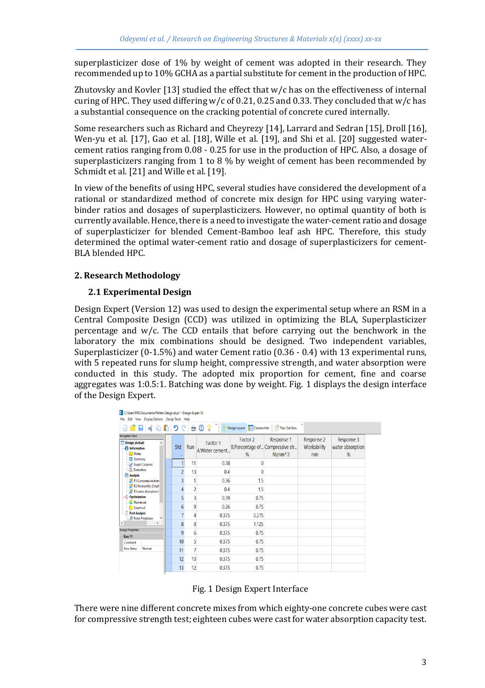superplasticizer dose of 1% by weight of cement was adopted in their research. They recommended up to 10% GCHA as a partial substitute for cement in the production of HPC.

Zhutovsky and Kovler [13] studied the effect that  $w/c$  has on the effectiveness of internal curing of HPC. They used differing  $w/c$  of 0.21, 0.25 and 0.33. They concluded that  $w/c$  has a substantial consequence on the cracking potential of concrete cured internally.

Some researchers such as Richard and Cheyrezy [14], Larrard and Sedran [15], Droll [16], Wen-yu et al. [17], Gao et al. [18], Wille et al. [19], and Shi et al. [20] suggested watercement ratios ranging from 0.08 - 0.25 for use in the production of HPC. Also, a dosage of superplasticizers ranging from 1 to 8 % by weight of cement has been recommended by Schmidt et al. [21] and Wille et al. [19].

In view of the benefits of using HPC, several studies have considered the development of a rational or standardized method of concrete mix design for HPC using varying waterbinder ratios and dosages of superplasticizers. However, no optimal quantity of both is currently available. Hence, there is a need to investigate the water-cement ratio and dosage of superplasticizer for blended Cement-Bamboo leaf ash HPC. Therefore, this study determined the optimal water-cement ratio and dosage of superplasticizers for cement-BLA blended HPC.

# **2. Research Methodology**

# **2.1 Experimental Design**

Design Expert (Version 12) was used to design the experimental setup where an RSM in a Central Composite Design (CCD) was utilized in optimizing the BLA, Superplasticizer percentage and w/c. The CCD entails that before carrying out the benchwork in the laboratory the mix combinations should be designed. Two independent variables, Superplasticizer (0-1.5%) and water Cement ratio (0.36 - 0.4) with 13 experimental runs, with 5 repeated runs for slump height, compressive strength, and water absorption were conducted in this study. The adopted mix proportion for cement, fine and coarse aggregates was 1:0.5:1. Batching was done by weight. Fig. 1 displays the design interface of the Design Expert.

| DX C:\Users\MSI\Documents\Perfect Design.dxpx" - Design-Expert 12               |     |                                |                            |               |                                                         |                                 |                                     |
|---------------------------------------------------------------------------------|-----|--------------------------------|----------------------------|---------------|---------------------------------------------------------|---------------------------------|-------------------------------------|
| File Edit View Display Options Design Tools Help                                |     |                                |                            |               |                                                         |                                 |                                     |
| $B = 1$ $\left  \begin{array}{cc} 0 & 0 \\ 0 & 0 \end{array} \right $           |     |                                |                            |               | Design Layout Column Info   2 Pop-Out View              | $\mathcal{D}$                   |                                     |
| Navigation Pane<br><b>Design (Actual)</b><br>f) Information<br>Notes<br>Summary | Std | Run<br>$\overline{v}$          | Factor 1<br>A:Water cement | Factor 2<br>% | Response 1<br>B:Percentage of Compressive str<br>N\mm^2 | Response 2<br>Workability<br>mm | Response 3<br>water absorption<br>% |
| Graph Columns                                                                   |     | 11                             | 0.38                       |               |                                                         |                                 |                                     |
| <b>B</b> Evaluation<br><b>Analysis</b>                                          |     | $\overline{\phantom{a}}$<br>13 | 0.4                        |               |                                                         |                                 |                                     |
| R1:Compressive stren                                                            |     | 3<br>1                         | 0.36                       | 1.5           |                                                         |                                 |                                     |
| R2:Workability (Empt-<br>R3:water absorption (                                  |     | 2<br>4                         | 0.4                        | 1.5           |                                                         |                                 |                                     |
| $\leftrightarrow$ Optimization                                                  |     | 3<br>5                         | 0.39                       | 0.75          |                                                         |                                 |                                     |
| Numerical<br><b>C</b> Graphical                                                 |     | 9<br>6                         | 0.36                       | 0.75          |                                                         |                                 |                                     |
| Post Analysis<br>$\Box$ $\Theta$ Point Prediction                               |     | 4                              | 0.375                      | 0.375         |                                                         |                                 |                                     |
| $\overline{\phantom{a}}$<br>$\mathbf{r}$                                        |     | 8<br>8                         | 0.375                      | 1.125         |                                                         |                                 |                                     |
| <b>Design Properties</b><br><b>Run 11</b>                                       |     | 6<br>9                         | 0.375                      | 0.75          |                                                         |                                 |                                     |
| Comment                                                                         |     | 5<br>10                        | 0.375                      | 0.75          |                                                         |                                 |                                     |
| <b>Row Status</b><br>Normal                                                     |     | $\overline{7}$<br>11           | 0.375                      | 0.75          |                                                         |                                 |                                     |
|                                                                                 |     | 12<br>10                       | 0.375                      | 0.75          |                                                         |                                 |                                     |
|                                                                                 |     | 13<br>12                       | 0.375                      | 0.75          |                                                         |                                 |                                     |

Fig. 1 Design Expert Interface

There were nine different concrete mixes from which eighty-one concrete cubes were cast for compressive strength test; eighteen cubes were cast for water absorption capacity test.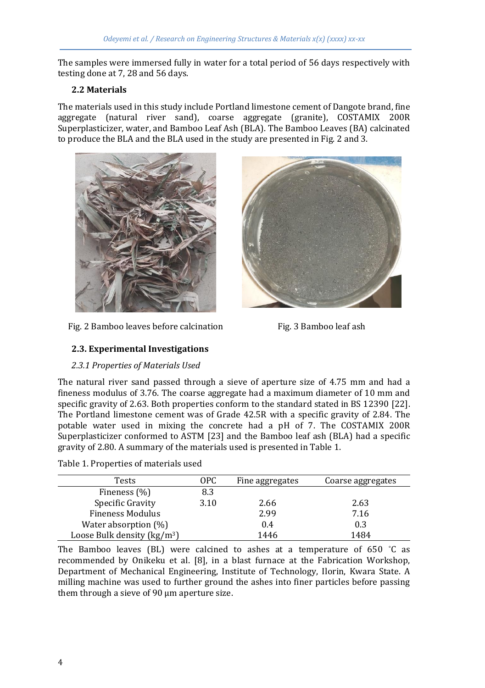The samples were immersed fully in water for a total period of 56 days respectively with testing done at 7, 28 and 56 days.

## **2.2 Materials**

The materials used in this study include Portland limestone cement of Dangote brand, fine aggregate (natural river sand), coarse aggregate (granite), COSTAMIX 200R Superplasticizer, water, and Bamboo Leaf Ash (BLA). The Bamboo Leaves (BA) calcinated to produce the BLA and the BLA used in the study are presented in Fig. 2 and 3.



Fig. 2 Bamboo leaves before calcination Fig. 3 Bamboo leaf ash



# **2.3. Experimental Investigations**

## *2.3.1 Properties of Materials Used*

The natural river sand passed through a sieve of aperture size of 4.75 mm and had a fineness modulus of 3.76. The coarse aggregate had a maximum diameter of 10 mm and specific gravity of 2.63. Both properties conform to the standard stated in BS 12390 [22]. The Portland limestone cement was of Grade 42.5R with a specific gravity of 2.84. The potable water used in mixing the concrete had a pH of 7. The COSTAMIX 200R Superplasticizer conformed to ASTM [23] and the Bamboo leaf ash (BLA) had a specific gravity of 2.80. A summary of the materials used is presented in Table 1.

| Table 1. Properties of materials used |
|---------------------------------------|
|---------------------------------------|

| Tests                                   | OPC. | Fine aggregates | Coarse aggregates |
|-----------------------------------------|------|-----------------|-------------------|
| Fineness (%)                            | 8.3  |                 |                   |
| Specific Gravity                        | 3.10 | 2.66            | 2.63              |
| <b>Fineness Modulus</b>                 |      | 2.99            | 7.16              |
| Water absorption $(\%)$                 |      | 0.4             | 0.3               |
| Loose Bulk density (kg/m <sup>3</sup> ) |      | 1446            | 1484              |

The Bamboo leaves (BL) were calcined to ashes at a temperature of 650 °C as recommended by Onikeku et al. [8], in a blast furnace at the Fabrication Workshop, Department of Mechanical Engineering, Institute of Technology, Ilorin, Kwara State. A milling machine was used to further ground the ashes into finer particles before passing them through a sieve of 90 µm aperture size.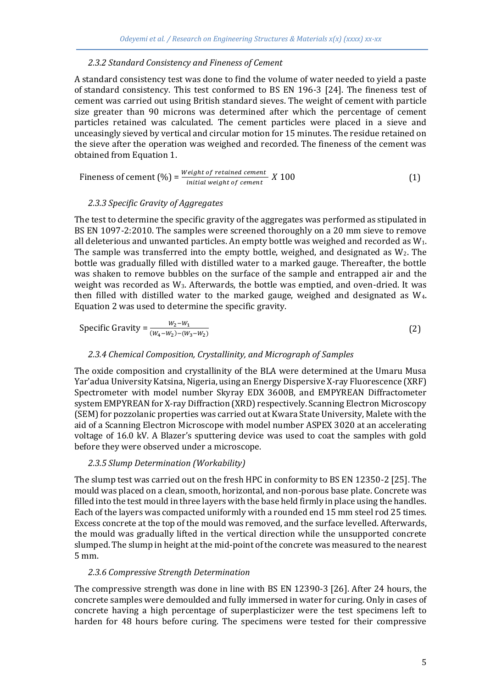#### *2.3.2 Standard Consistency and Fineness of Cement*

A standard consistency test was done to find the volume of water needed to yield a paste of standard consistency. This test conformed to BS EN 196-3 [24]. The fineness test of cement was carried out using British standard sieves. The weight of cement with particle size greater than 90 microns was determined after which the percentage of cement particles retained was calculated. The cement particles were placed in a sieve and unceasingly sieved by vertical and circular motion for 15 minutes. The residue retained on the sieve after the operation was weighed and recorded. The fineness of the cement was obtained from Equation 1.

$$
Fineness of cement (%) = \frac{Weight \ of \ retained \ cement}{initial \ weight \ of \ cement} \ X \ 100
$$
 (1)

#### *2.3.3 Specific Gravity of Aggregates*

The test to determine the specific gravity of the aggregates was performed as stipulated in BS EN 1097-2:2010. The samples were screened thoroughly on a 20 mm sieve to remove all deleterious and unwanted particles. An empty bottle was weighed and recorded as W1. The sample was transferred into the empty bottle, weighed, and designated as  $W_2$ . The bottle was gradually filled with distilled water to a marked gauge. Thereafter, the bottle was shaken to remove bubbles on the surface of the sample and entrapped air and the weight was recorded as  $W_3$ . Afterwards, the bottle was emptied, and oven-dried. It was then filled with distilled water to the marked gauge, weighed and designated as W4. Equation 2 was used to determine the specific gravity.

Specific Gravity = 
$$
\frac{W_2 - W_1}{(W_4 - W_2) - (W_3 - W_2)}
$$
 (2)

#### *2.3.4 Chemical Composition, Crystallinity, and Micrograph of Samples*

The oxide composition and crystallinity of the BLA were determined at the Umaru Musa Yar'adua University Katsina, Nigeria, using an Energy Dispersive X-ray Fluorescence (XRF) Spectrometer with model number Skyray EDX 3600B, and EMPYREAN Diffractometer system EMPYREAN for X-ray Diffraction (XRD) respectively. Scanning Electron Microscopy (SEM) for pozzolanic properties was carried out at Kwara State University, Malete with the aid of a Scanning Electron Microscope with model number ASPEX 3020 at an accelerating voltage of 16.0 kV. A Blazer's sputtering device was used to coat the samples with gold before they were observed under a microscope.

#### *2.3.5 Slump Determination (Workability)*

The slump test was carried out on the fresh HPC in conformity to BS EN 12350-2 [25]. The mould was placed on a clean, smooth, horizontal, and non-porous base plate. Concrete was filled into the test mould in three layers with the base held firmly in place using the handles. Each of the layers was compacted uniformly with a rounded end 15 mm steel rod 25 times. Excess concrete at the top of the mould was removed, and the surface levelled. Afterwards, the mould was gradually lifted in the vertical direction while the unsupported concrete slumped. The slump in height at the mid-point of the concrete was measured to the nearest 5 mm.

#### *2.3.6 Compressive Strength Determination*

The compressive strength was done in line with BS EN 12390-3 [26]. After 24 hours, the concrete samples were demoulded and fully immersed in water for curing. Only in cases of concrete having a high percentage of superplasticizer were the test specimens left to harden for 48 hours before curing. The specimens were tested for their compressive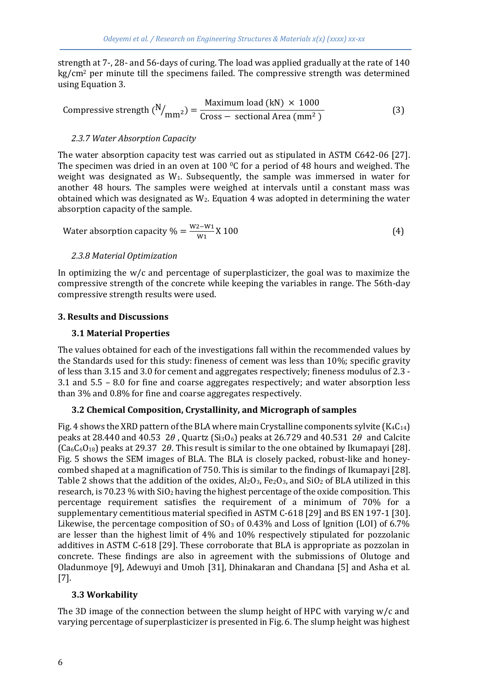strength at 7-, 28- and 56-days of curing. The load was applied gradually at the rate of 140 kg/cm<sup>2</sup> per minute till the specimens failed. The compressive strength was determined using Equation 3.

Compressive strength 
$$
(N/_{mm^2}) = \frac{Maximum load (kN) \times 1000}{Cross - sectional Area (mm^2)}
$$
 (3)

## *2.3.7 Water Absorption Capacity*

The water absorption capacity test was carried out as stipulated in ASTM C642-06 [27]. The specimen was dried in an oven at 100  $\degree$ C for a period of 48 hours and weighed. The weight was designated as W1. Subsequently, the sample was immersed in water for another 48 hours. The samples were weighed at intervals until a constant mass was obtained which was designated as  $W_2$ . Equation 4 was adopted in determining the water absorption capacity of the sample.

Water absorption capacity 
$$
\% = \frac{W_2 - W_1}{W_1} X 100
$$
 (4)

## *2.3.8 Material Optimization*

In optimizing the  $w/c$  and percentage of superplasticizer, the goal was to maximize the compressive strength of the concrete while keeping the variables in range. The 56th-day compressive strength results were used.

## **3. Results and Discussions**

## **3.1 Material Properties**

The values obtained for each of the investigations fall within the recommended values by the Standards used for this study: fineness of cement was less than 10%; specific gravity of less than 3.15 and 3.0 for cement and aggregates respectively; fineness modulus of 2.3 - 3.1 and 5.5 – 8.0 for fine and coarse aggregates respectively; and water absorption less than 3% and 0.8% for fine and coarse aggregates respectively.

# **3.2 Chemical Composition, Crystallinity, and Micrograph of samples**

Fig. 4 shows the XRD pattern of the BLA where main Crystalline components sylvite  $(K_4C_{14})$ peaks at 28.440 and 40.53 2 $\theta$ , Quartz (Si<sub>3</sub>O<sub>6</sub>) peaks at 26.729 and 40.531 2 $\theta$  and Calcite  $(Ca_6C_6O_{18})$  peaks at 29.37 20. This result is similar to the one obtained by Ikumapayi [28]. Fig. 5 shows the SEM images of BLA. The BLA is closely packed, robust-like and honeycombed shaped at a magnification of 750. This is similar to the findings of Ikumapayi [28]. Table 2 shows that the addition of the oxides,  $Al_2O_3$ ,  $Fe_2O_3$ , and  $SiO_2$  of BLA utilized in this research, is 70.23 % with  $SiO<sub>2</sub>$  having the highest percentage of the oxide composition. This percentage requirement satisfies the requirement of a minimum of 70% for a supplementary cementitious material specified in ASTM C-618 [29] and BS EN 197-1 [30]. Likewise, the percentage composition of  $SO_3$  of 0.43% and Loss of Ignition (LOI) of 6.7% are lesser than the highest limit of 4% and 10% respectively stipulated for pozzolanic additives in ASTM C-618 [29]. These corroborate that BLA is appropriate as pozzolan in concrete. These findings are also in agreement with the submissions of Olutoge and Oladunmoye [9], Adewuyi and Umoh [31], Dhinakaran and Chandana [5] and Asha et al. [7].

## **3.3 Workability**

The 3D image of the connection between the slump height of HPC with varying  $w/c$  and varying percentage of superplasticizer is presented in Fig. 6. The slump height was highest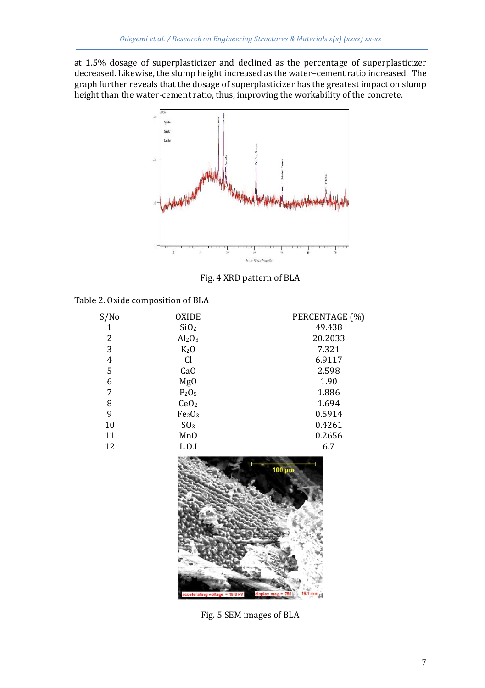at 1.5% dosage of superplasticizer and declined as the percentage of superplasticizer decreased. Likewise, the slump height increased as the water–cement ratio increased. The graph further reveals that the dosage of superplasticizer has the greatest impact on slump height than the water-cement ratio, thus, improving the workability of the concrete.



Fig. 4 XRD pattern of BLA

| Table 2. Oxide composition of BLA |  |  |  |  |
|-----------------------------------|--|--|--|--|
|-----------------------------------|--|--|--|--|

| 49.438<br>SiO <sub>2</sub><br>1<br>2<br>20.2033<br>$Al_2O_3$<br>3<br>7.321<br>K <sub>2</sub> O<br>6.9117<br>4<br>Cl<br>5<br>2.598<br>Ca <sub>O</sub><br>1.90<br>6<br>Mg <sub>0</sub><br>1.886<br>7<br>P <sub>2</sub> O <sub>5</sub><br>8<br>1.694<br>CeO <sub>2</sub><br>9<br>0.5914<br>Fe <sub>2</sub> O <sub>3</sub><br>0.4261<br>SO <sub>3</sub><br>10<br>0.2656<br>11<br>MnO<br>12<br>L.0.1<br>6.7 | S/No | <b>OXIDE</b> | PERCENTAGE (%) |
|--------------------------------------------------------------------------------------------------------------------------------------------------------------------------------------------------------------------------------------------------------------------------------------------------------------------------------------------------------------------------------------------------------|------|--------------|----------------|
|                                                                                                                                                                                                                                                                                                                                                                                                        |      |              |                |
|                                                                                                                                                                                                                                                                                                                                                                                                        |      |              |                |
|                                                                                                                                                                                                                                                                                                                                                                                                        |      |              |                |
|                                                                                                                                                                                                                                                                                                                                                                                                        |      |              |                |
|                                                                                                                                                                                                                                                                                                                                                                                                        |      |              |                |
|                                                                                                                                                                                                                                                                                                                                                                                                        |      |              |                |
|                                                                                                                                                                                                                                                                                                                                                                                                        |      |              |                |
|                                                                                                                                                                                                                                                                                                                                                                                                        |      |              |                |
|                                                                                                                                                                                                                                                                                                                                                                                                        |      |              |                |
|                                                                                                                                                                                                                                                                                                                                                                                                        |      |              |                |
|                                                                                                                                                                                                                                                                                                                                                                                                        |      |              |                |
|                                                                                                                                                                                                                                                                                                                                                                                                        |      |              |                |



Fig. 5 SEM images of BLA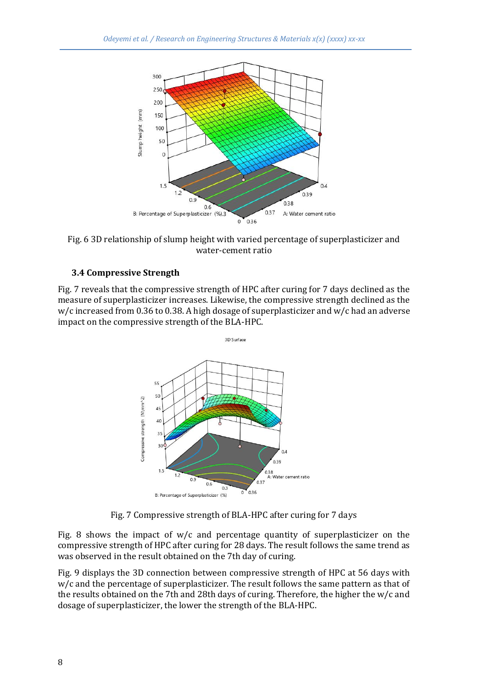

Fig. 6 3D relationship of slump height with varied percentage of superplasticizer and water-cement ratio

#### **3.4 Compressive Strength**

Fig. 7 reveals that the compressive strength of HPC after curing for 7 days declined as the measure of superplasticizer increases. Likewise, the compressive strength declined as the  $w/c$  increased from 0.36 to 0.38. A high dosage of superplasticizer and  $w/c$  had an adverse impact on the compressive strength of the BLA-HPC.



Fig. 7 Compressive strength of BLA-HPC after curing for 7 days

Fig. 8 shows the impact of  $w/c$  and percentage quantity of superplasticizer on the compressive strength of HPC after curing for 28 days. The result follows the same trend as was observed in the result obtained on the 7th day of curing.

Fig. 9 displays the 3D connection between compressive strength of HPC at 56 days with w/c and the percentage of superplasticizer. The result follows the same pattern as that of the results obtained on the 7th and 28th days of curing. Therefore, the higher the w/c and dosage of superplasticizer, the lower the strength of the BLA-HPC.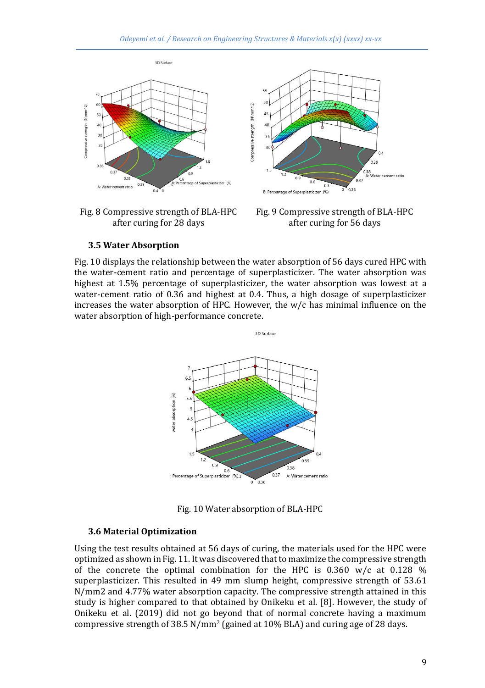

Fig. 8 Compressive strength of BLA-HPC after curing for 28 days

Fig. 9 Compressive strength of BLA-HPC after curing for 56 days

#### **3.5 Water Absorption**

Fig. 10 displays the relationship between the water absorption of 56 days cured HPC with the water-cement ratio and percentage of superplasticizer. The water absorption was highest at 1.5% percentage of superplasticizer, the water absorption was lowest at a water-cement ratio of 0.36 and highest at 0.4. Thus, a high dosage of superplasticizer increases the water absorption of HPC. However, the w/c has minimal influence on the water absorption of high-performance concrete.



Fig. 10 Water absorption of BLA-HPC

#### **3.6 Material Optimization**

Using the test results obtained at 56 days of curing, the materials used for the HPC were optimized as shown in Fig. 11. It was discovered that to maximize the compressive strength of the concrete the optimal combination for the HPC is  $0.360 \, \text{w/c}$  at  $0.128 \, \%$ superplasticizer. This resulted in 49 mm slump height, compressive strength of 53.61 N/mm2 and 4.77% water absorption capacity. The compressive strength attained in this study is higher compared to that obtained by Onikeku et al. [8]. However, the study of Onikeku et al. (2019) did not go beyond that of normal concrete having a maximum compressive strength of 38.5  $N/mm^2$  (gained at 10% BLA) and curing age of 28 days.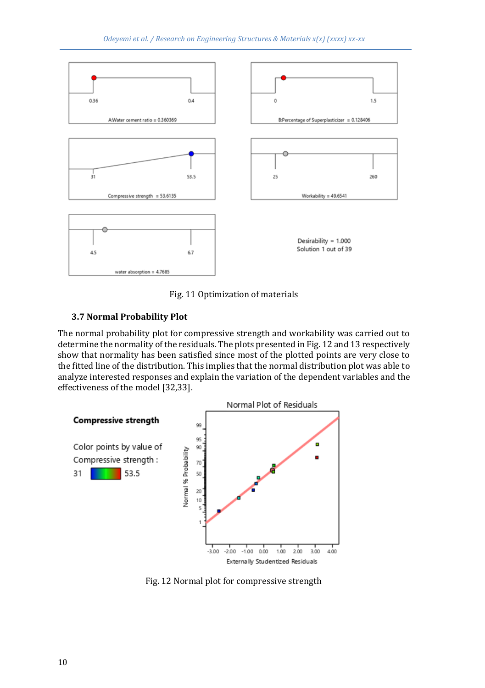

Fig. 11 Optimization of materials

# **3.7 Normal Probability Plot**

The normal probability plot for compressive strength and workability was carried out to determine the normality of the residuals. The plots presented in Fig. 12 and 13 respectively show that normality has been satisfied since most of the plotted points are very close to the fitted line of the distribution. This implies that the normal distribution plot was able to analyze interested responses and explain the variation of the dependent variables and the effectiveness of the model [32,33].



Fig. 12 Normal plot for compressive strength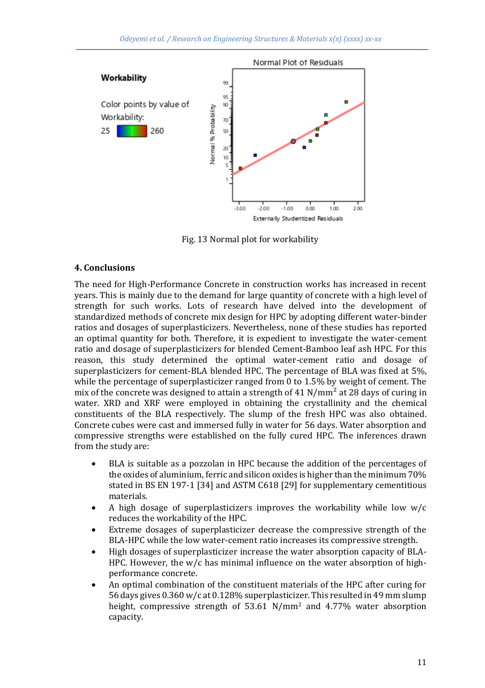

Fig. 13 Normal plot for workability

## **4. Conclusions**

The need for High-Performance Concrete in construction works has increased in recent years. This is mainly due to the demand for large quantity of concrete with a high level of strength for such works. Lots of research have delved into the development of standardized methods of concrete mix design for HPC by adopting different water-binder ratios and dosages of superplasticizers. Nevertheless, none of these studies has reported an optimal quantity for both. Therefore, it is expedient to investigate the water-cement ratio and dosage of superplasticizers for blended Cement-Bamboo leaf ash HPC. For this reason, this study determined the optimal water-cement ratio and dosage of superplasticizers for cement-BLA blended HPC. The percentage of BLA was fixed at 5%, while the percentage of superplasticizer ranged from 0 to 1.5% by weight of cement. The mix of the concrete was designed to attain a strength of 41  $N/mm^2$  at 28 days of curing in water. XRD and XRF were employed in obtaining the crystallinity and the chemical constituents of the BLA respectively. The slump of the fresh HPC was also obtained. Concrete cubes were cast and immersed fully in water for 56 days. Water absorption and compressive strengths were established on the fully cured HPC. The inferences drawn from the study are:

- BLA is suitable as a pozzolan in HPC because the addition of the percentages of the oxides of aluminium, ferric and silicon oxides is higher than the minimum 70% stated in BS EN 197-1 [34] and ASTM C618 [29] for supplementary cementitious materials.
- A high dosage of superplasticizers improves the workability while low  $w/c$ reduces the workability of the HPC.
- Extreme dosages of superplasticizer decrease the compressive strength of the BLA-HPC while the low water-cement ratio increases its compressive strength.
- High dosages of superplasticizer increase the water absorption capacity of BLA-HPC. However, the  $w/c$  has minimal influence on the water absorption of highperformance concrete.
- An optimal combination of the constituent materials of the HPC after curing for 56 days gives 0.360 w/c at 0.128% superplasticizer. This resulted in 49 mm slump height, compressive strength of 53.61 N/mm<sup>2</sup> and 4.77% water absorption capacity.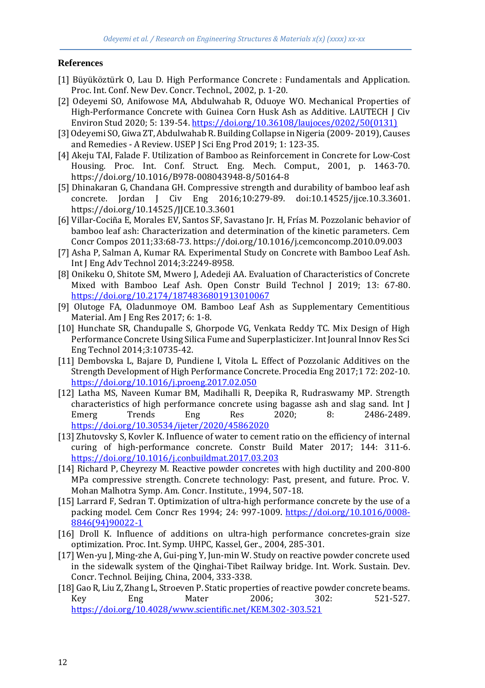## **References**

- [1] Büyüköztürk O, Lau D. High Performance Concrete : Fundamentals and Application. Proc. Int. Conf. New Dev. Concr. Technol., 2002, p. 1-20.
- [2] Odeyemi SO, Anifowose MA, Abdulwahab R, Oduoye WO. Mechanical Properties of High-Performance Concrete with Guinea Corn Husk Ash as Additive. LAUTECH J Civ Environ Stud 2020; 5: 139-54. [https://doi.org/10.36108/laujoces/0202/50\(0131\)](https://doi.org/10.36108/laujoces/0202/50(0131))
- [3] Odeyemi SO, Giwa ZT, Abdulwahab R. Building Collapse in Nigeria (2009- 2019), Causes and Remedies - A Review. USEP J Sci Eng Prod 2019; 1: 123-35.
- [4] Akeju TAI, Falade F. Utilization of Bamboo as Reinforcement in Concrete for Low-Cost Housing. Proc. Int. Conf. Struct. Eng. Mech. Comput., 2001, p. 1463-70. https://doi.org/10.1016/B978-008043948-8/50164-8
- [5] Dhinakaran G, Chandana GH. Compressive strength and durability of bamboo leaf ash concrete. Jordan J Civ Eng 2016;10:279-89. doi:10.14525/jjce.10.3.3601. https://doi.org/10.14525/JJCE.10.3.3601
- [6] Villar-Cociña E, Morales EV, Santos SF, Savastano Jr. H, Frías M. Pozzolanic behavior of bamboo leaf ash: Characterization and determination of the kinetic parameters. Cem Concr Compos 2011;33:68-73. https://doi.org/10.1016/j.cemconcomp.2010.09.003
- [7] Asha P, Salman A, Kumar RA. Experimental Study on Concrete with Bamboo Leaf Ash. Int J Eng Adv Technol 2014;3:2249-8958.
- [8] Onikeku O, Shitote SM, Mwero J, Adedeji AA. Evaluation of Characteristics of Concrete Mixed with Bamboo Leaf Ash. Open Constr Build Technol J 2019; 13: 67-80. <https://doi.org/10.2174/1874836801913010067>
- [9] Olutoge FA, Oladunmoye OM. Bamboo Leaf Ash as Supplementary Cementitious Material. Am J Eng Res 2017; 6: 1-8.
- [10] Hunchate SR, Chandupalle S, Ghorpode VG, Venkata Reddy TC. Mix Design of High Performance Concrete Using Silica Fume and Superplasticizer. Int Jounral Innov Res Sci Eng Technol 2014;3:10735-42.
- [11] Dembovska L, Bajare D, Pundiene I, Vitola L. Effect of Pozzolanic Additives on the Strength Development of High Performance Concrete. Procedia Eng 2017;1 72: 202-10. <https://doi.org/10.1016/j.proeng.2017.02.050>
- [12] Latha MS, Naveen Kumar BM, Madihalli R, Deepika R, Rudraswamy MP. Strength characteristics of high performance concrete using bagasse ash and slag sand. Int J Emerg Trends Eng Res 2020; 8: 2486-2489. <https://doi.org/10.30534/ijeter/2020/45862020>
- [13] Zhutovsky S, Kovler K. Influence of water to cement ratio on the efficiency of internal curing of high-performance concrete. Constr Build Mater 2017; 144: 311-6. <https://doi.org/10.1016/j.conbuildmat.2017.03.203>
- [14] Richard P, Cheyrezy M. Reactive powder concretes with high ductility and 200-800 MPa compressive strength. Concrete technology: Past, present, and future. Proc. V. Mohan Malhotra Symp. Am. Concr. Institute., 1994, 507-18.
- [15] Larrard F, Sedran T. Optimization of ultra-high performance concrete by the use of a packing model. Cem Concr Res 1994; 24: 997-1009. [https://doi.org/10.1016/0008-](https://doi.org/10.1016/0008-8846(94)90022-1) [8846\(94\)90022-1](https://doi.org/10.1016/0008-8846(94)90022-1)
- [16] Droll K. Influence of additions on ultra-high performance concretes-grain size optimization. Proc. Int. Symp. UHPC, Kassel, Ger., 2004, 285-301.
- [17] Wen-yu J, Ming-zhe A, Gui-ping Y, Jun-min W. Study on reactive powder concrete used in the sidewalk system of the Qinghai-Tibet Railway bridge. Int. Work. Sustain. Dev. Concr. Technol. Beijing, China, 2004, 333-338.
- [18] Gao R, Liu Z, Zhang L, Stroeven P. Static properties of reactive powder concrete beams. Key Eng Mater 2006; 302: 521-527. <https://doi.org/10.4028/www.scientific.net/KEM.302-303.521>